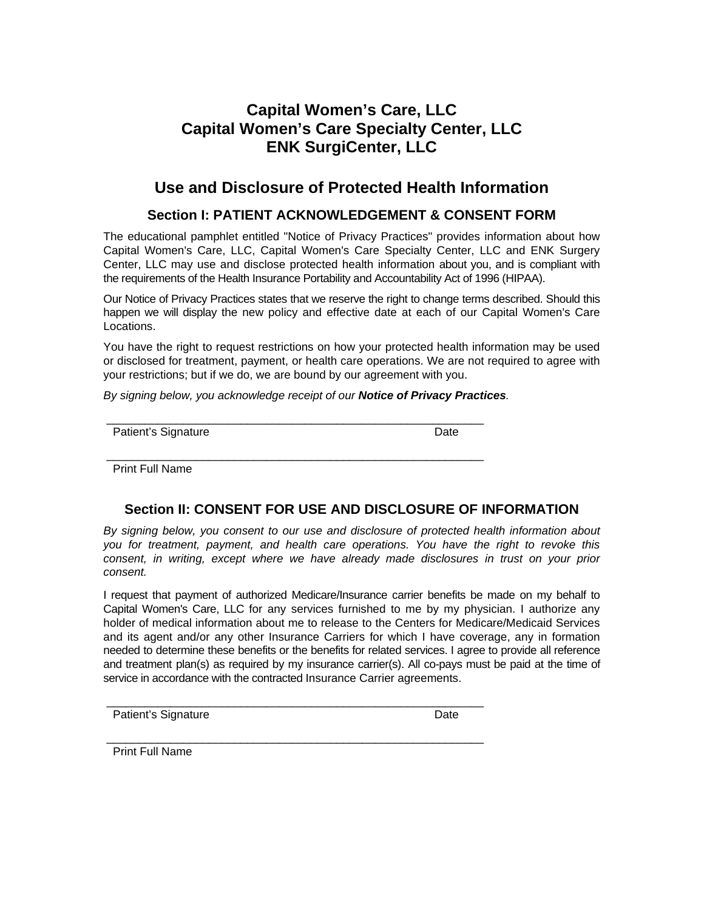# **Capital Women's Care, LLC Capital Women's Care Specialty Center, LLC ENK SurgiCenter, LLC**

# **Use and Disclosure of Protected Health Information**

#### **Section I: PATIENT ACKNOWLEDGEMENT & CONSENT FORM**

The educational pamphlet entitled "Notice of Privacy Practices" provides information about how Capital Women's Care, LLC, Capital Women's Care Specialty Center, LLC and ENK Surgery Center, LLC may use and disclose protected health information about you, and is compliant with the requirements of the Health Insurance Portability and Accountability Act of 1996 (HIPAA).

Our Notice of Privacy Practices states that we reserve the right to change terms described. Should this happen we will display the new policy and effective date at each of our Capital Women's Care Locations.

You have the right to request restrictions on how your protected health information may be used or disclosed for treatment, payment, or health care operations. We are not required to agree with your restrictions; but if we do, we are bound by our agreement with you.

*By signing below, you acknowledge receipt of our Notice of Privacy Practices.* 

 \_\_\_\_\_\_\_\_\_\_\_\_\_\_\_\_\_\_\_\_\_\_\_\_\_\_\_\_\_\_\_\_\_\_\_\_\_\_\_\_\_\_\_\_\_\_\_\_\_\_\_\_\_\_\_\_\_\_\_ Patient's Signature Date

\_\_\_\_\_\_\_\_\_\_\_\_\_\_\_\_\_\_\_\_\_\_\_\_\_\_\_\_\_\_\_\_\_\_\_\_\_\_\_\_\_\_\_\_\_\_\_\_\_\_\_\_\_\_\_\_\_\_\_

\_\_\_\_\_\_\_\_\_\_\_\_\_\_\_\_\_\_\_\_\_\_\_\_\_\_\_\_\_\_\_\_\_\_\_\_\_\_\_\_\_\_\_\_\_\_\_\_\_\_\_\_\_\_\_\_\_\_\_

\_\_\_\_\_\_\_\_\_\_\_\_\_\_\_\_\_\_\_\_\_\_\_\_\_\_\_\_\_\_\_\_\_\_\_\_\_\_\_\_\_\_\_\_\_\_\_\_\_\_\_\_\_\_\_\_\_\_\_

Print Full Name

## **Section II: CONSENT FOR USE AND DISCLOSURE OF INFORMATION**

*By signing below, you consent to our use and disclosure of protected health information about you for treatment, payment, and health care operations. You have the right to revoke this consent, in writing, except where we have already made disclosures in trust on your prior consent.*

I request that payment of authorized Medicare/Insurance carrier benefits be made on my behalf to Capital Women's Care, LLC for any services furnished to me by my physician. I authorize any holder of medical information about me to release to the Centers for Medicare/Medicaid Services and its agent and/or any other Insurance Carriers for which I have coverage, any in formation needed to determine these benefits or the benefits for related services. I agree to provide all reference and treatment plan(s) as required by my insurance carrier(s). All co-pays must be paid at the time of service in accordance with the contracted Insurance Carrier agreements.

Patient's Signature Date Date

Print Full Name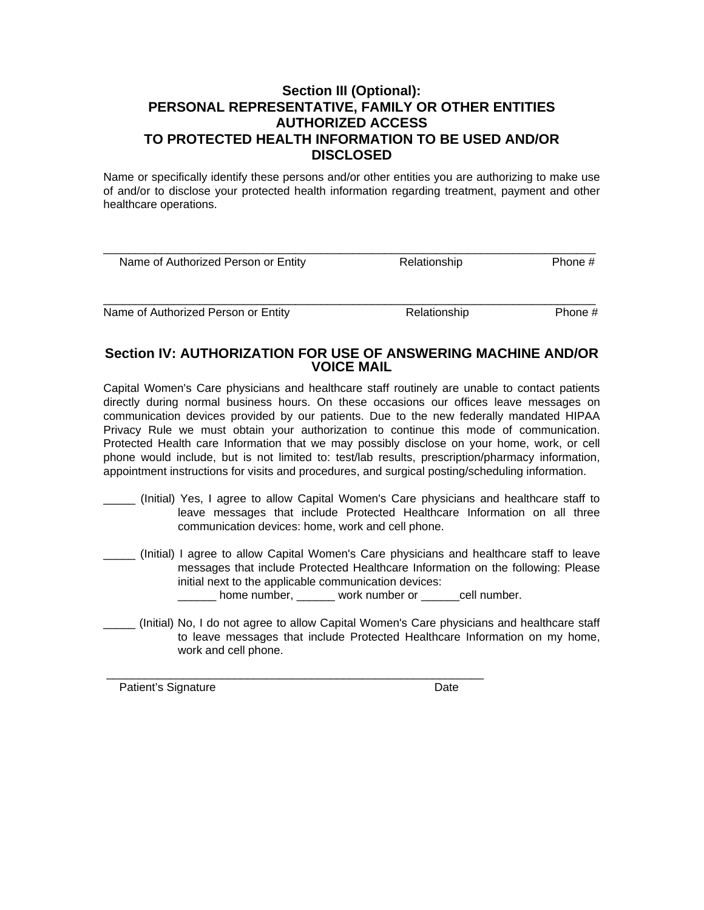## **Section III (Optional): PERSONAL REPRESENTATIVE, FAMILY OR OTHER ENTITIES AUTHORIZED ACCESS TO PROTECTED HEALTH INFORMATION TO BE USED AND/OR DISCLOSED**

Name or specifically identify these persons and/or other entities you are authorizing to make use of and/or to disclose your protected health information regarding treatment, payment and other healthcare operations.

| Relationship | Phone #      |
|--------------|--------------|
|              | Phone #      |
|              | Relationship |

### **Section IV: AUTHORIZATION FOR USE OF ANSWERING MACHINE AND/OR VOICE MAIL**

Capital Women's Care physicians and healthcare staff routinely are unable to contact patients directly during normal business hours. On these occasions our offices leave messages on communication devices provided by our patients. Due to the new federally mandated HIPAA Privacy Rule we must obtain your authorization to continue this mode of communication. Protected Health care Information that we may possibly disclose on your home, work, or cell phone would include, but is not limited to: test/lab results, prescription/pharmacy information, appointment instructions for visits and procedures, and surgical posting/scheduling information.

- \_\_\_\_\_ (Initial) Yes, I agree to allow Capital Women's Care physicians and healthcare staff to leave messages that include Protected Healthcare Information on all three communication devices: home, work and cell phone.
- \_\_\_\_\_ (Initial) I agree to allow Capital Women's Care physicians and healthcare staff to leave messages that include Protected Healthcare Information on the following: Please initial next to the applicable communication devices: home number, work number or dell number.
- \_\_\_\_\_ (Initial) No, I do not agree to allow Capital Women's Care physicians and healthcare staff to leave messages that include Protected Healthcare Information on my home, work and cell phone.

\_\_\_\_\_\_\_\_\_\_\_\_\_\_\_\_\_\_\_\_\_\_\_\_\_\_\_\_\_\_\_\_\_\_\_\_\_\_\_\_\_\_\_\_\_\_\_\_\_\_\_\_\_\_\_\_\_\_\_

Patient's Signature **Date**